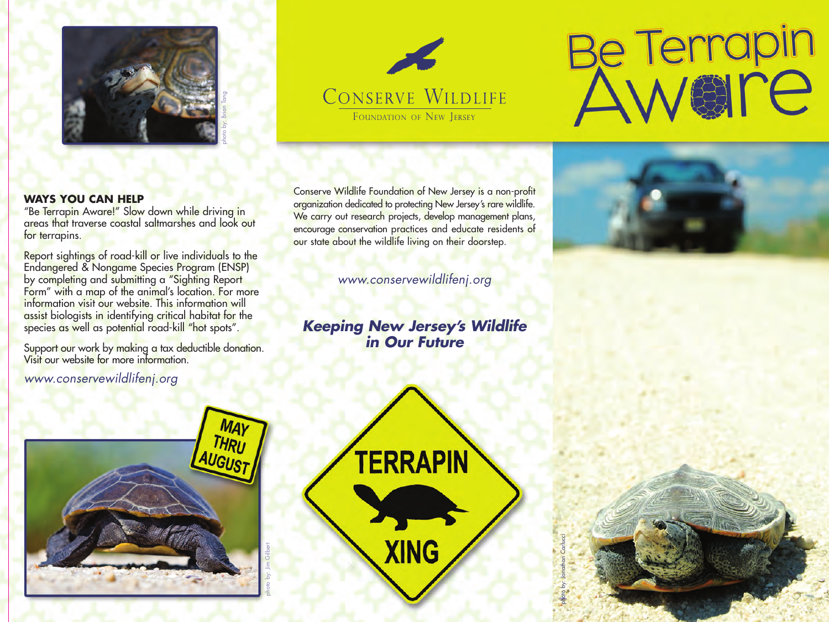



# Be Terrapin

### **WAYS YOU CAN HELP**

"Be Terrapin Aware!" Slow down while driving in areas that traverse coastal saltmarshes and look out for terrapins.

Report sightings of road-kill or live individuals to the Endangered & Nongame Species Program (ENSP) by completing and submitting a "Sighting Report Form" with a map of the animal's location. For more information visit our website. This information will assist biologists in identifying critical habitat for the species as well as potential road-kill "hot spots".

Support our work by making a tax deductible donation. Visit our website for more information.

*www.conservewildlifenj.org*

Conserve Wildlife Foundation of New Jersey is a non-profit organization dedicated to protecting New Jersey's rare wildlife. We carry out research projects, develop management plans, encourage conservation practices and educate residents of our state about the wildlife living on their doorstep.

*www.conservewildlifenj.org*

*Keeping New Jersey's Wildlife in Our Future*





photo by: Jonathan Carlucci